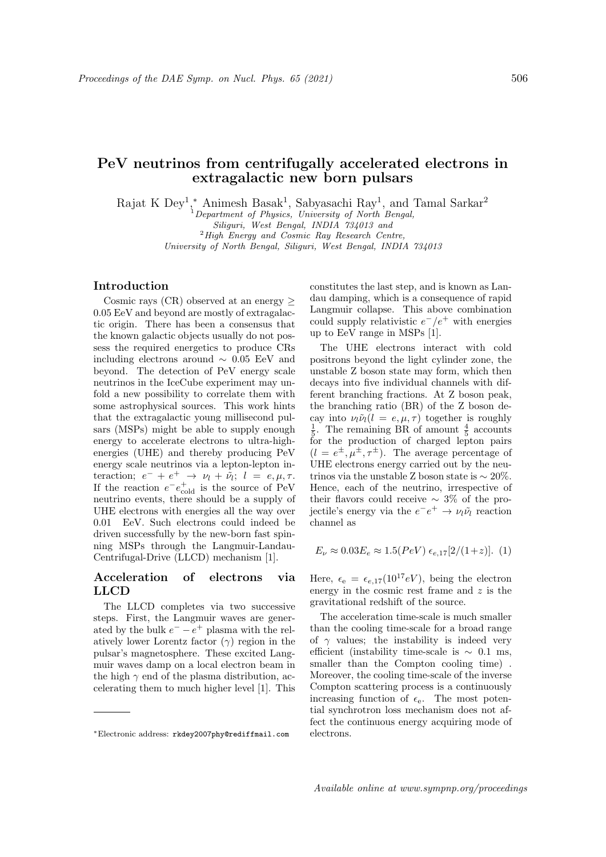# PeV neutrinos from centrifugally accelerated electrons in extragalactic new born pulsars

Rajat K Dey<sup>1</sup>,\* Animesh Basak<sup>1</sup>, Sabyasachi Ray<sup>1</sup>, and Tamal Sarkar<sup>2</sup>

<sup>1</sup>Department of Physics, University of North Bengal,

Siliguri, West Bengal, INDIA 734013 and

 $^{2}$ High Energy and Cosmic Ray Research Centre, University of North Bengal, Siliguri, West Bengal, INDIA 734013

## Introduction

Cosmic rays (CR) observed at an energy  $\geq$ 0.05 EeV and beyond are mostly of extragalactic origin. There has been a consensus that the known galactic objects usually do not possess the required energetics to produce CRs including electrons around  $\sim$  0.05 EeV and beyond. The detection of PeV energy scale neutrinos in the IceCube experiment may unfold a new possibility to correlate them with some astrophysical sources. This work hints that the extragalactic young millisecond pulsars (MSPs) might be able to supply enough energy to accelerate electrons to ultra-highenergies (UHE) and thereby producing PeV energy scale neutrinos via a lepton-lepton interaction;  $e^- + e^+ \rightarrow \nu_l + \tilde{\nu}_l$ ;  $l = e, \mu, \tau$ . If the reaction  $e^-e_{\text{cold}}^+$  is the source of PeV neutrino events, there should be a supply of UHE electrons with energies all the way over 0.01 EeV. Such electrons could indeed be driven successfully by the new-born fast spinning MSPs through the Langmuir-Landau-Centrifugal-Drive (LLCD) mechanism [1].

## Acceleration of electrons via LLCD

The LLCD completes via two successive steps. First, the Langmuir waves are generated by the bulk  $e^- - e^+$  plasma with the relatively lower Lorentz factor  $(\gamma)$  region in the pulsar's magnetosphere. These excited Langmuir waves damp on a local electron beam in the high  $\gamma$  end of the plasma distribution, accelerating them to much higher level [1]. This

constitutes the last step, and is known as Landau damping, which is a consequence of rapid Langmuir collapse. This above combination could supply relativistic  $e^-/e^+$  with energies up to EeV range in MSPs [1].

The UHE electrons interact with cold positrons beyond the light cylinder zone, the unstable Z boson state may form, which then decays into five individual channels with different branching fractions. At Z boson peak, the branching ratio (BR) of the Z boson decay into  $\nu_l \tilde{\nu}_l (l = e, \mu, \tau)$  together is roughly  $\frac{1}{5}$ . The remaining BR of amount  $\frac{4}{5}$  accounts for the production of charged lepton pairs  $(l = e^{\pm}, \mu^{\pm}, \tau^{\pm})$ . The average percentage of UHE electrons energy carried out by the neutrinos via the unstable Z boson state is  $\sim 20\%$ . Hence, each of the neutrino, irrespective of their flavors could receive  $\sim 3\%$  of the projectile's energy via the  $e^-e^+ \rightarrow \nu_l \tilde{\nu}_l$  reaction channel as

$$
E_{\nu} \approx 0.03 E_e \approx 1.5 (PeV) \epsilon_{e,17} [2/(1+z)].
$$
 (1)

Here,  $\epsilon_e = \epsilon_{e,17}(10^{17}eV)$ , being the electron energy in the cosmic rest frame and  $z$  is the gravitational redshift of the source.

The acceleration time-scale is much smaller than the cooling time-scale for a broad range of  $\gamma$  values; the instability is indeed very efficient (instability time-scale is  $\sim 0.1$  ms, smaller than the Compton cooling time) . Moreover, the cooling time-scale of the inverse Compton scattering process is a continuously increasing function of  $\epsilon_{e}$ . The most potential synchrotron loss mechanism does not affect the continuous energy acquiring mode of electrons.

<sup>∗</sup>Electronic address: rkdey2007phy@rediffmail.com